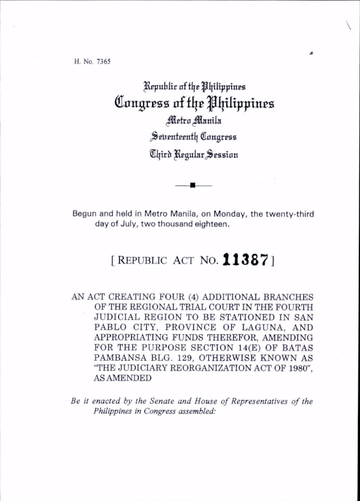H, No. 7365

Republic of the Philippines Congress of the Philippines Metro Manila Seventeenth Congress Third Regular Session

Begun and held in Metro Manila, on Monday, the twenty-third day of July, two thousand eighteen.

## [REPUBLIC ACT NO.  $11387$ ]

AN ACT CREATING FOUR (4) ADDITIONAL BRANCHES OF THE REGIONAL TRIAL COURT IN THE FOURTH JUDICIAL REGION TO BE STATIONED IN SAN PABLO CITY, PROVINCE OF LAGUNA, AND APPROPRIATING FUNDS THEREFOR, AMENDING FOR THE PURPOSE SECTION 14(E) OF BATAS PAMBANSA BLG. 129, OTHERWISE KNOWN AS "THE JUDICIARY REORGANIZATION ACT OF 1980". AS AMENDED

Be it enacted by the Senate and House of Representatives of the Philippines in Congress assembled: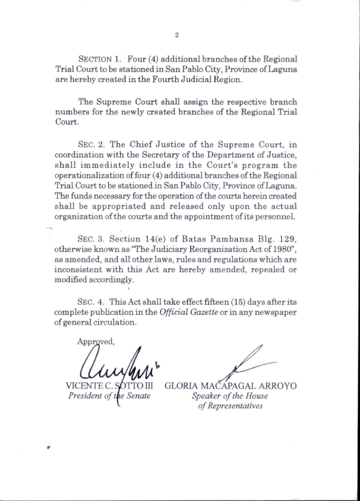SECTION 1. Four (4) additional branches of the Regional Trial Court to he stationed in San Pablo City, Province of Laguna are hereby created in the Fourth Judicial Region.

The Supreme Court shall assign the respective branch num bers for the newly created branches of the Regional Trial Court.

SEC. 2. The Chief Justice of the Supreme Court, in coordination with the Secretary of the Department of Justice. shall immediately include in the Court's program the operationalization of four (4) additional branches of the Regional Trial Court to be stationed in San Pablo City, Province of Laguna. The funds necessary for the operation of the courts herein created shall be appropriated and released only upon the actual organization of the courts and the appointment of its personnel.

SEC. 3. Section  $14(e)$  of Batas Pambansa Blg. 129, otherwise known as "The Judiciary Reorganization Act of 1980", as amended, and aU other laws, rules and regulations which are inconsistent with this Act are hereby amended, repealed or modified accordingly.

Sec. 4. This Act shall take effect fifteen (15) days after its complete publication in the *Official Gazette* or in any newspaper of general circulation.

Approved. VICENTE<sup></sup>

President of

GLORIA MACAPAGAL ARROYO Speaker of the House of Representatives